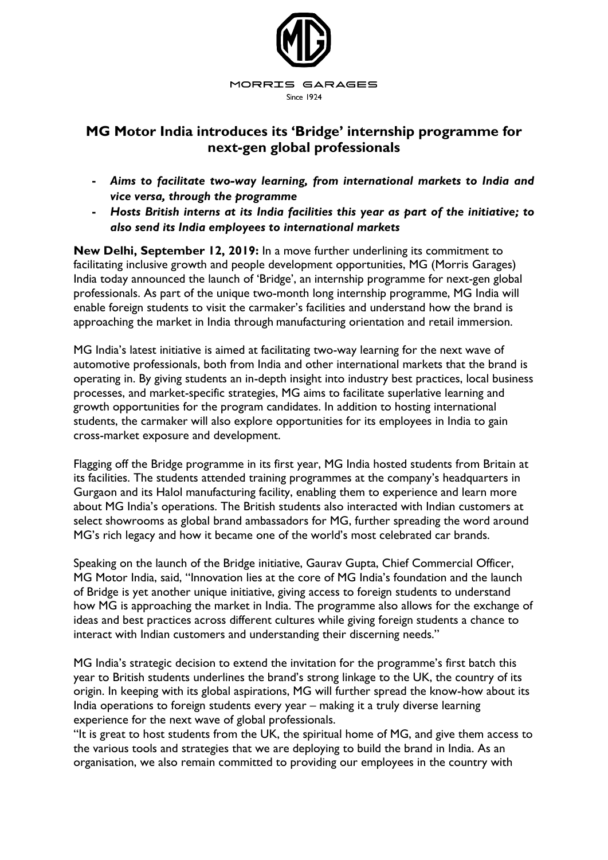

## **MG Motor India introduces its 'Bridge' internship programme for next-gen global professionals**

- **-** *Aims to facilitate two-way learning, from international markets to India and vice versa, through the programme*
- **-** *Hosts British interns at its India facilities this year as part of the initiative; to also send its India employees to international markets*

**New Delhi, September 12, 2019:** In a move further underlining its commitment to facilitating inclusive growth and people development opportunities, MG (Morris Garages) India today announced the launch of 'Bridge', an internship programme for next-gen global professionals. As part of the unique two-month long internship programme, MG India will enable foreign students to visit the carmaker's facilities and understand how the brand is approaching the market in India through manufacturing orientation and retail immersion.

MG India's latest initiative is aimed at facilitating two-way learning for the next wave of automotive professionals, both from India and other international markets that the brand is operating in. By giving students an in-depth insight into industry best practices, local business processes, and market-specific strategies, MG aims to facilitate superlative learning and growth opportunities for the program candidates. In addition to hosting international students, the carmaker will also explore opportunities for its employees in India to gain cross-market exposure and development.

Flagging off the Bridge programme in its first year, MG India hosted students from Britain at its facilities. The students attended training programmes at the company's headquarters in Gurgaon and its Halol manufacturing facility, enabling them to experience and learn more about MG India's operations. The British students also interacted with Indian customers at select showrooms as global brand ambassadors for MG, further spreading the word around MG's rich legacy and how it became one of the world's most celebrated car brands.

Speaking on the launch of the Bridge initiative, Gaurav Gupta, Chief Commercial Officer, MG Motor India, said, "Innovation lies at the core of MG India's foundation and the launch of Bridge is yet another unique initiative, giving access to foreign students to understand how MG is approaching the market in India. The programme also allows for the exchange of ideas and best practices across different cultures while giving foreign students a chance to interact with Indian customers and understanding their discerning needs."

MG India's strategic decision to extend the invitation for the programme's first batch this year to British students underlines the brand's strong linkage to the UK, the country of its origin. In keeping with its global aspirations, MG will further spread the know-how about its India operations to foreign students every year – making it a truly diverse learning experience for the next wave of global professionals.

"It is great to host students from the UK, the spiritual home of MG, and give them access to the various tools and strategies that we are deploying to build the brand in India. As an organisation, we also remain committed to providing our employees in the country with